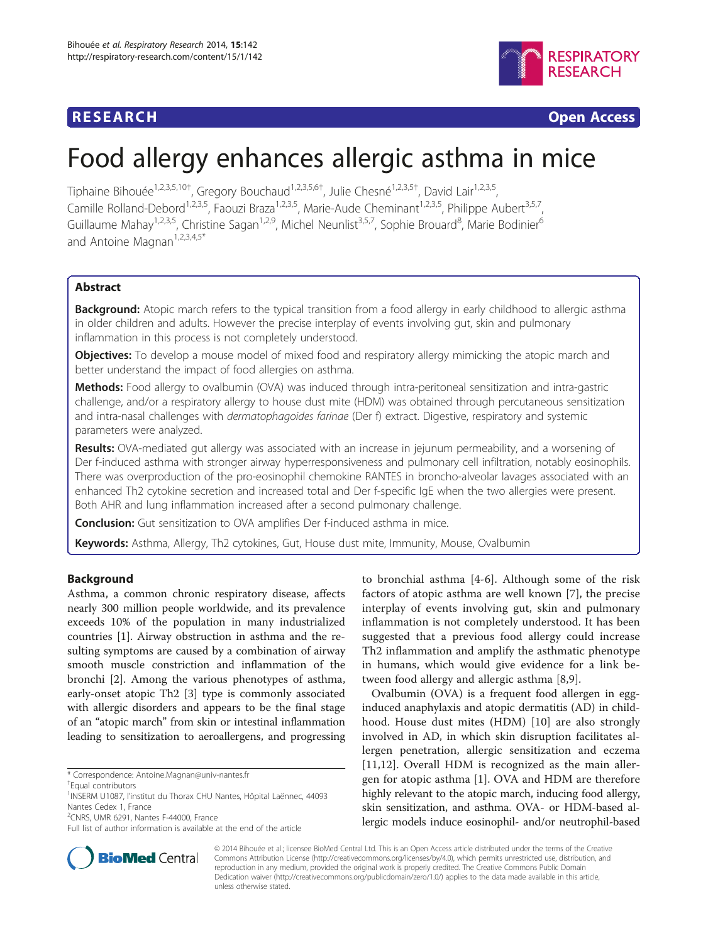## **RESEARCH RESEARCH** *CHECKER CHECKER CHECKER CHECKER CHECKER CHECKER CHECKER CHECKER CHECKER CHECKER CHECKER*



# Food allergy enhances allergic asthma in mice

Tiphaine Bihouée<sup>1,2,3,5,10†</sup>, Gregory Bouchaud<sup>1,2,3,5,6†</sup>, Julie Chesné<sup>1,2,3,5†</sup>, David Lair<sup>1,2,3,5</sup>, Camille Rolland-Debord<sup>1,2,3,5</sup>, Faouzi Braza<sup>1,2,3,5</sup>, Marie-Aude Cheminant<sup>1,2,3,5</sup>, Philippe Aubert<sup>3,5,7</sup>, Guillaume Mahay<sup>1,2,3,5</sup>, Christine Sagan<sup>1,2,9</sup>, Michel Neunlist<sup>3,5,7</sup>, Sophie Brouard<sup>8</sup>, Marie Bodinier<sup>6</sup> and Antoine Magnan<sup>1,2,3,4,5\*</sup>

## Abstract

**Background:** Atopic march refers to the typical transition from a food allergy in early childhood to allergic asthma in older children and adults. However the precise interplay of events involving gut, skin and pulmonary inflammation in this process is not completely understood.

**Objectives:** To develop a mouse model of mixed food and respiratory allergy mimicking the atopic march and better understand the impact of food allergies on asthma.

Methods: Food allergy to ovalbumin (OVA) was induced through intra-peritoneal sensitization and intra-gastric challenge, and/or a respiratory allergy to house dust mite (HDM) was obtained through percutaneous sensitization and intra-nasal challenges with dermatophagoides farinae (Der f) extract. Digestive, respiratory and systemic parameters were analyzed.

Results: OVA-mediated gut allergy was associated with an increase in jejunum permeability, and a worsening of Der f-induced asthma with stronger airway hyperresponsiveness and pulmonary cell infiltration, notably eosinophils. There was overproduction of the pro-eosinophil chemokine RANTES in broncho-alveolar lavages associated with an enhanced Th2 cytokine secretion and increased total and Der f-specific IgE when the two allergies were present. Both AHR and lung inflammation increased after a second pulmonary challenge.

**Conclusion:** Gut sensitization to OVA amplifies Der f-induced asthma in mice.

**Keywords:** Asthma, Allergy, Th2 cytokines, Gut, House dust mite, Immunity, Mouse, Ovalbumin

## Background

Asthma, a common chronic respiratory disease, affects nearly 300 million people worldwide, and its prevalence exceeds 10% of the population in many industrialized countries [\[1](#page-8-0)]. Airway obstruction in asthma and the resulting symptoms are caused by a combination of airway smooth muscle constriction and inflammation of the bronchi [[2\]](#page-8-0). Among the various phenotypes of asthma, early-onset atopic Th2 [\[3\]](#page-8-0) type is commonly associated with allergic disorders and appears to be the final stage of an "atopic march" from skin or intestinal inflammation leading to sensitization to aeroallergens, and progressing

2 CNRS, UMR 6291, Nantes F-44000, France

to bronchial asthma [\[4](#page-8-0)-[6\]](#page-8-0). Although some of the risk factors of atopic asthma are well known [\[7](#page-8-0)], the precise interplay of events involving gut, skin and pulmonary inflammation is not completely understood. It has been suggested that a previous food allergy could increase Th2 inflammation and amplify the asthmatic phenotype in humans, which would give evidence for a link between food allergy and allergic asthma [\[8](#page-8-0),[9\]](#page-8-0).

Ovalbumin (OVA) is a frequent food allergen in egginduced anaphylaxis and atopic dermatitis (AD) in childhood. House dust mites (HDM) [\[10](#page-8-0)] are also strongly involved in AD, in which skin disruption facilitates allergen penetration, allergic sensitization and eczema [[11,12](#page-8-0)]. Overall HDM is recognized as the main allergen for atopic asthma [[1](#page-8-0)]. OVA and HDM are therefore highly relevant to the atopic march, inducing food allergy, skin sensitization, and asthma. OVA- or HDM-based allergic models induce eosinophil- and/or neutrophil-based



© 2014 Bihouée et al.; licensee BioMed Central Ltd. This is an Open Access article distributed under the terms of the Creative Commons Attribution License [\(http://creativecommons.org/licenses/by/4.0\)](http://creativecommons.org/licenses/by/4.0), which permits unrestricted use, distribution, and reproduction in any medium, provided the original work is properly credited. The Creative Commons Public Domain Dedication waiver [\(http://creativecommons.org/publicdomain/zero/1.0/](http://creativecommons.org/publicdomain/zero/1.0/)) applies to the data made available in this article, unless otherwise stated.

<sup>\*</sup> Correspondence: [Antoine.Magnan@univ-nantes.fr](mailto:Antoine.Magnan@univ-nantes.fr) †

Equal contributors

<sup>&</sup>lt;sup>1</sup>INSERM U1087, l'institut du Thorax CHU Nantes, Hôpital Laënnec, 44093 Nantes Cedex 1, France

Full list of author information is available at the end of the article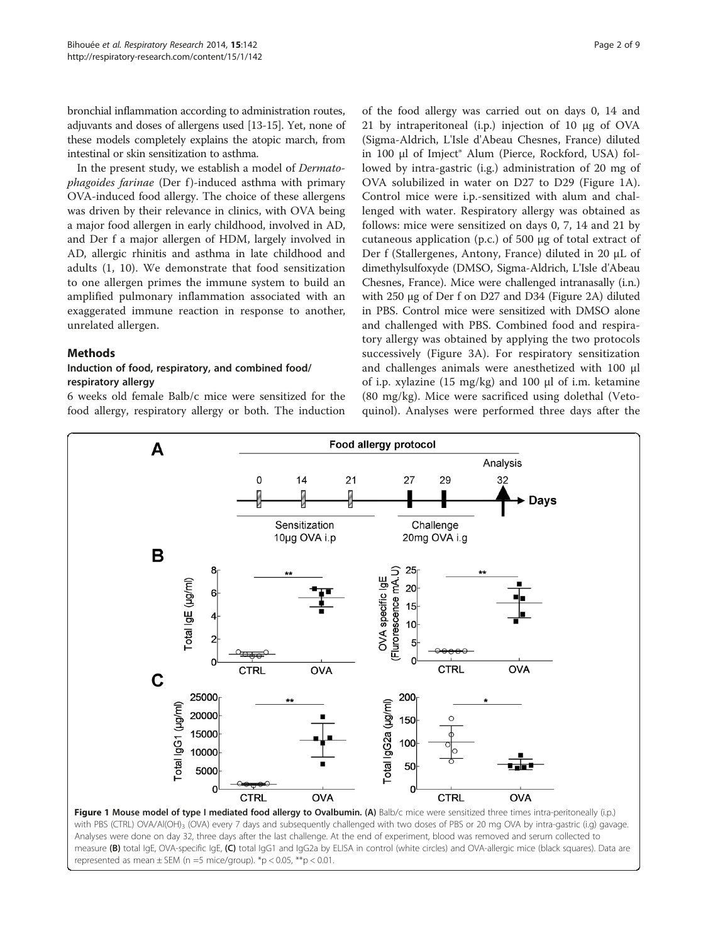<span id="page-1-0"></span>bronchial inflammation according to administration routes, adjuvants and doses of allergens used [\[13-15\]](#page-8-0). Yet, none of these models completely explains the atopic march, from intestinal or skin sensitization to asthma.

In the present study, we establish a model of Dermatophagoides farinae (Der f)-induced asthma with primary OVA-induced food allergy. The choice of these allergens was driven by their relevance in clinics, with OVA being a major food allergen in early childhood, involved in AD, and Der f a major allergen of HDM, largely involved in AD, allergic rhinitis and asthma in late childhood and adults (1, 10). We demonstrate that food sensitization to one allergen primes the immune system to build an amplified pulmonary inflammation associated with an exaggerated immune reaction in response to another, unrelated allergen.

## Methods

## Induction of food, respiratory, and combined food/ respiratory allergy

6 weeks old female Balb/c mice were sensitized for the food allergy, respiratory allergy or both. The induction

of the food allergy was carried out on days 0, 14 and 21 by intraperitoneal (i.p.) injection of 10 μg of OVA (Sigma-Aldrich, L'Isle d'Abeau Chesnes, France) diluted in 100 μl of Imject® Alum (Pierce, Rockford, USA) followed by intra-gastric (i.g.) administration of 20 mg of OVA solubilized in water on D27 to D29 (Figure 1A). Control mice were i.p.-sensitized with alum and challenged with water. Respiratory allergy was obtained as follows: mice were sensitized on days 0, 7, 14 and 21 by cutaneous application (p.c.) of 500 μg of total extract of Der f (Stallergenes, Antony, France) diluted in 20 μL of dimethylsulfoxyde (DMSO, Sigma-Aldrich, L'Isle d'Abeau Chesnes, France). Mice were challenged intranasally (i.n.) with 250 μg of Der f on D27 and D34 (Figure [2A](#page-2-0)) diluted in PBS. Control mice were sensitized with DMSO alone and challenged with PBS. Combined food and respiratory allergy was obtained by applying the two protocols successively (Figure [3](#page-3-0)A). For respiratory sensitization and challenges animals were anesthetized with 100 μl of i.p. xylazine (15 mg/kg) and 100 μl of i.m. ketamine (80 mg/kg). Mice were sacrificed using dolethal (Vetoquinol). Analyses were performed three days after the



Analyses were done on day 32, three days after the last challenge. At the end of experiment, blood was removed and serum collected to measure (B) total IgE, OVA-specific IgE, (C) total IgG1 and IgG2a by ELISA in control (white circles) and OVA-allergic mice (black squares). Data are represented as mean  $\pm$  SEM (n =5 mice/group). \*p < 0.05, \*\*p < 0.01.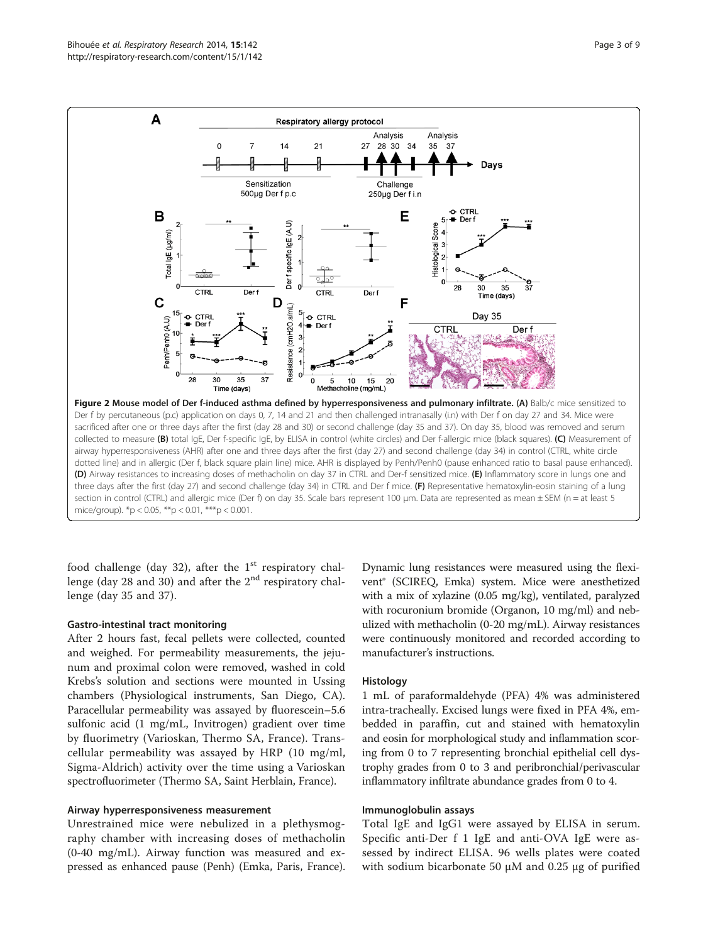<span id="page-2-0"></span>

food challenge (day 32), after the  $1<sup>st</sup>$  respiratory challenge (day 28 and 30) and after the  $2<sup>nd</sup>$  respiratory challenge (day 35 and 37).

#### Gastro-intestinal tract monitoring

After 2 hours fast, fecal pellets were collected, counted and weighed. For permeability measurements, the jejunum and proximal colon were removed, washed in cold Krebs's solution and sections were mounted in Ussing chambers (Physiological instruments, San Diego, CA). Paracellular permeability was assayed by fluorescein–5.6 sulfonic acid (1 mg/mL, Invitrogen) gradient over time by fluorimetry (Varioskan, Thermo SA, France). Transcellular permeability was assayed by HRP (10 mg/ml, Sigma-Aldrich) activity over the time using a Varioskan spectrofluorimeter (Thermo SA, Saint Herblain, France).

### Airway hyperresponsiveness measurement

Unrestrained mice were nebulized in a plethysmography chamber with increasing doses of methacholin (0-40 mg/mL). Airway function was measured and expressed as enhanced pause (Penh) (Emka, Paris, France).

Dynamic lung resistances were measured using the flexivent® (SCIREQ, Emka) system. Mice were anesthetized with a mix of xylazine (0.05 mg/kg), ventilated, paralyzed with rocuronium bromide (Organon, 10 mg/ml) and nebulized with methacholin (0-20 mg/mL). Airway resistances were continuously monitored and recorded according to manufacturer's instructions.

#### Histology

1 mL of paraformaldehyde (PFA) 4% was administered intra-tracheally. Excised lungs were fixed in PFA 4%, embedded in paraffin, cut and stained with hematoxylin and eosin for morphological study and inflammation scoring from 0 to 7 representing bronchial epithelial cell dystrophy grades from 0 to 3 and peribronchial/perivascular inflammatory infiltrate abundance grades from 0 to 4.

#### Immunoglobulin assays

Total IgE and IgG1 were assayed by ELISA in serum. Specific anti-Der f 1 IgE and anti-OVA IgE were assessed by indirect ELISA. 96 wells plates were coated with sodium bicarbonate 50 μM and 0.25 μg of purified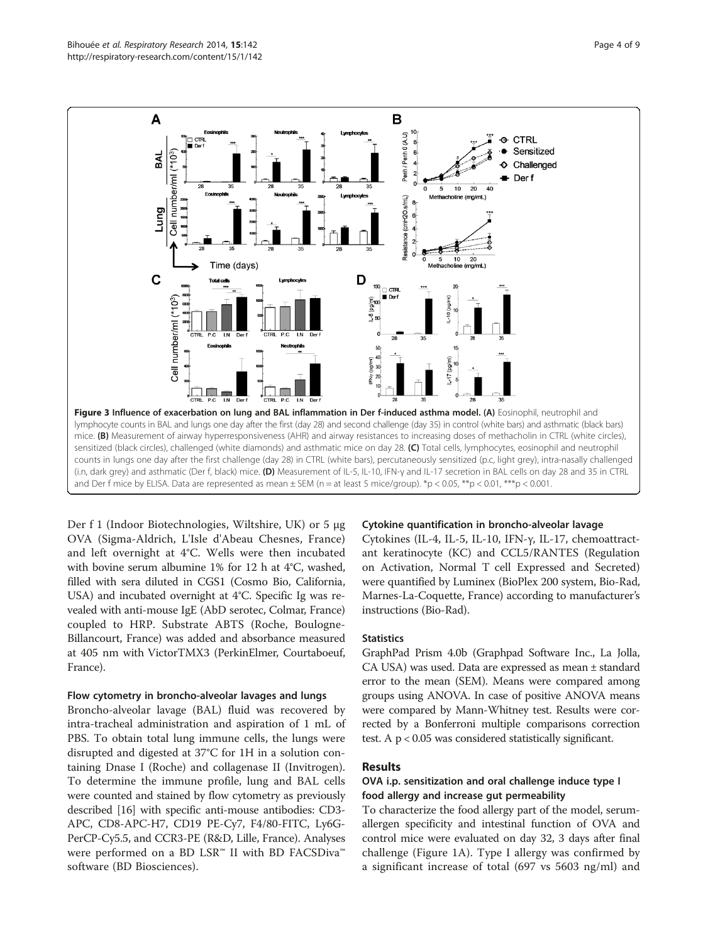<span id="page-3-0"></span>

Der f 1 (Indoor Biotechnologies, Wiltshire, UK) or 5 μg OVA (Sigma-Aldrich, L'Isle d'Abeau Chesnes, France) and left overnight at 4°C. Wells were then incubated with bovine serum albumine 1% for 12 h at 4°C, washed, filled with sera diluted in CGS1 (Cosmo Bio, California, USA) and incubated overnight at 4°C. Specific Ig was revealed with anti-mouse IgE (AbD serotec, Colmar, France) coupled to HRP. Substrate ABTS (Roche, Boulogne-Billancourt, France) was added and absorbance measured at 405 nm with VictorTMX3 (PerkinElmer, Courtaboeuf, France).

#### Flow cytometry in broncho-alveolar lavages and lungs

Broncho-alveolar lavage (BAL) fluid was recovered by intra-tracheal administration and aspiration of 1 mL of PBS. To obtain total lung immune cells, the lungs were disrupted and digested at 37°C for 1H in a solution containing Dnase I (Roche) and collagenase II (Invitrogen). To determine the immune profile, lung and BAL cells were counted and stained by flow cytometry as previously described [[16](#page-8-0)] with specific anti-mouse antibodies: CD3- APC, CD8-APC-H7, CD19 PE-Cy7, F4/80-FITC, Ly6G-PerCP-Cy5.5, and CCR3-PE (R&D, Lille, France). Analyses were performed on a BD LSR™ II with BD FACSDiva™ software (BD Biosciences).

#### Cytokine quantification in broncho-alveolar lavage

Cytokines (IL-4, IL-5, IL-10, IFN-γ, IL-17, chemoattractant keratinocyte (KC) and CCL5/RANTES (Regulation on Activation, Normal T cell Expressed and Secreted) were quantified by Luminex (BioPlex 200 system, Bio-Rad, Marnes-La-Coquette, France) according to manufacturer's instructions (Bio-Rad).

#### **Statistics**

GraphPad Prism 4.0b (Graphpad Software Inc., La Jolla, CA USA) was used. Data are expressed as mean ± standard error to the mean (SEM). Means were compared among groups using ANOVA. In case of positive ANOVA means were compared by Mann-Whitney test. Results were corrected by a Bonferroni multiple comparisons correction test. A p < 0.05 was considered statistically significant.

## Results

## OVA i.p. sensitization and oral challenge induce type I food allergy and increase gut permeability

To characterize the food allergy part of the model, serumallergen specificity and intestinal function of OVA and control mice were evaluated on day 32, 3 days after final challenge (Figure [1](#page-1-0)A). Type I allergy was confirmed by a significant increase of total (697 vs 5603 ng/ml) and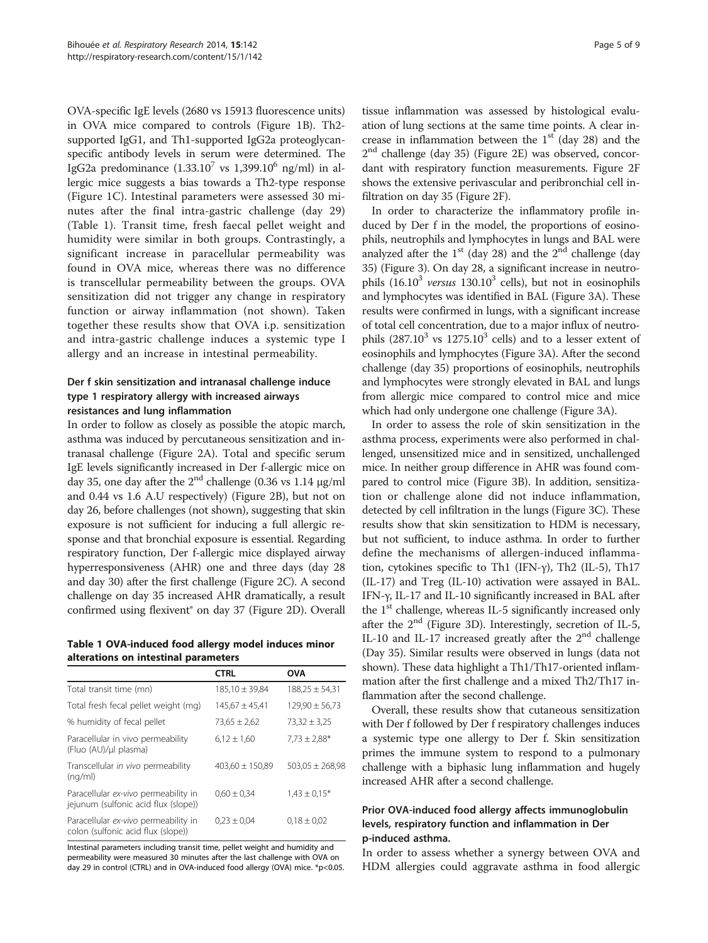OVA-specific IgE levels (2680 vs 15913 fluorescence units) in OVA mice compared to controls (Figure [1](#page-1-0)B). Th2 supported IgG1, and Th1-supported IgG2a proteoglycanspecific antibody levels in serum were determined. The IgG2a predominance  $(1.33.10^7 \text{ vs } 1,399.10^6 \text{ ng/ml})$  in allergic mice suggests a bias towards a Th2-type response (Figure [1C](#page-1-0)). Intestinal parameters were assessed 30 minutes after the final intra-gastric challenge (day 29) (Table 1). Transit time, fresh faecal pellet weight and humidity were similar in both groups. Contrastingly, a significant increase in paracellular permeability was found in OVA mice, whereas there was no difference is transcellular permeability between the groups. OVA sensitization did not trigger any change in respiratory function or airway inflammation (not shown). Taken together these results show that OVA i.p. sensitization and intra-gastric challenge induces a systemic type I allergy and an increase in intestinal permeability.

## Der f skin sensitization and intranasal challenge induce type 1 respiratory allergy with increased airways resistances and lung inflammation

In order to follow as closely as possible the atopic march, asthma was induced by percutaneous sensitization and intranasal challenge (Figure [2](#page-2-0)A). Total and specific serum IgE levels significantly increased in Der f-allergic mice on day 35, one day after the  $2<sup>nd</sup>$  challenge (0.36 vs 1.14 μg/ml and 0.44 vs 1.6 A.U respectively) (Figure [2B](#page-2-0)), but not on day 26, before challenges (not shown), suggesting that skin exposure is not sufficient for inducing a full allergic response and that bronchial exposure is essential. Regarding respiratory function, Der f-allergic mice displayed airway hyperresponsiveness (AHR) one and three days (day 28 and day 30) after the first challenge (Figure [2](#page-2-0)C). A second challenge on day 35 increased AHR dramatically, a result confirmed using flexivent® on day 37 (Figure [2D](#page-2-0)). Overall

Table 1 OVA-induced food allergy model induces minor alterations on intestinal parameters

|                                                                              | <b>CTRL</b>         | <b>OVA</b>          |
|------------------------------------------------------------------------------|---------------------|---------------------|
| Total transit time (mn)                                                      | $185,10 \pm 39,84$  | $188,25 \pm 54,31$  |
| Total fresh fecal pellet weight (mg)                                         | $145.67 \pm 45.41$  | $129.90 \pm 56.73$  |
| % humidity of fecal pellet                                                   | $73,65 \pm 2,62$    | $73.32 \pm 3.25$    |
| Paracellular in vivo permeability<br>(Fluo (AU)/µl plasma)                   | $6.12 \pm 1.60$     | $7.73 \pm 2.88*$    |
| Transcellular in vivo permeability<br>(nq/ml)                                | $403,60 \pm 150,89$ | $503,05 \pm 268,98$ |
| Paracellular ex-vivo permeability in<br>jejunum (sulfonic acid flux (slope)) | $0.60 \pm 0.34$     | $1,43 \pm 0,15^*$   |
| Paracellular ex-vivo permeability in<br>colon (sulfonic acid flux (slope))   | $0.23 \pm 0.04$     | $0.18 \pm 0.02$     |

Intestinal parameters including transit time, pellet weight and humidity and permeability were measured 30 minutes after the last challenge with OVA on day 29 in control (CTRL) and in OVA-induced food allergy (OVA) mice. \*p<0.05.

tissue inflammation was assessed by histological evaluation of lung sections at the same time points. A clear increase in inflammation between the  $1<sup>st</sup>$  (day 28) and the 2nd challenge (day 35) (Figure [2E](#page-2-0)) was observed, concordant with respiratory function measurements. Figure [2](#page-2-0)F shows the extensive perivascular and peribronchial cell infiltration on day 35 (Figure [2](#page-2-0)F).

In order to characterize the inflammatory profile induced by Der f in the model, the proportions of eosinophils, neutrophils and lymphocytes in lungs and BAL were analyzed after the  $1<sup>st</sup>$  (day 28) and the  $2<sup>nd</sup>$  challenge (day 35) (Figure [3](#page-3-0)). On day 28, a significant increase in neutrophils  $(16.10^3 \text{ versus } 130.10^3 \text{ cells})$ , but not in eosinophils and lymphocytes was identified in BAL (Figure [3A](#page-3-0)). These results were confirmed in lungs, with a significant increase of total cell concentration, due to a major influx of neutrophils  $(287.10^3 \text{ vs } 1275.10^3 \text{ cells})$  and to a lesser extent of eosinophils and lymphocytes (Figure [3A](#page-3-0)). After the second challenge (day 35) proportions of eosinophils, neutrophils and lymphocytes were strongly elevated in BAL and lungs from allergic mice compared to control mice and mice which had only undergone one challenge (Figure [3](#page-3-0)A).

In order to assess the role of skin sensitization in the asthma process, experiments were also performed in challenged, unsensitized mice and in sensitized, unchallenged mice. In neither group difference in AHR was found compared to control mice (Figure [3B](#page-3-0)). In addition, sensitization or challenge alone did not induce inflammation, detected by cell infiltration in the lungs (Figure [3](#page-3-0)C). These results show that skin sensitization to HDM is necessary, but not sufficient, to induce asthma. In order to further define the mechanisms of allergen-induced inflammation, cytokines specific to Th1 (IFN-γ), Th2 (IL-5), Th17 (IL-17) and Treg (IL-10) activation were assayed in BAL. IFN-γ, IL-17 and IL-10 significantly increased in BAL after the 1<sup>st</sup> challenge, whereas IL-5 significantly increased only after the  $2<sup>nd</sup>$  (Figure [3](#page-3-0)D). Interestingly, secretion of IL-5, IL-10 and IL-17 increased greatly after the  $2<sup>nd</sup>$  challenge (Day 35). Similar results were observed in lungs (data not shown). These data highlight a Th1/Th17-oriented inflammation after the first challenge and a mixed Th2/Th17 inflammation after the second challenge.

Overall, these results show that cutaneous sensitization with Der f followed by Der f respiratory challenges induces a systemic type one allergy to Der f. Skin sensitization primes the immune system to respond to a pulmonary challenge with a biphasic lung inflammation and hugely increased AHR after a second challenge.

## Prior OVA-induced food allergy affects immunoglobulin levels, respiratory function and inflammation in Der p-induced asthma.

In order to assess whether a synergy between OVA and HDM allergies could aggravate asthma in food allergic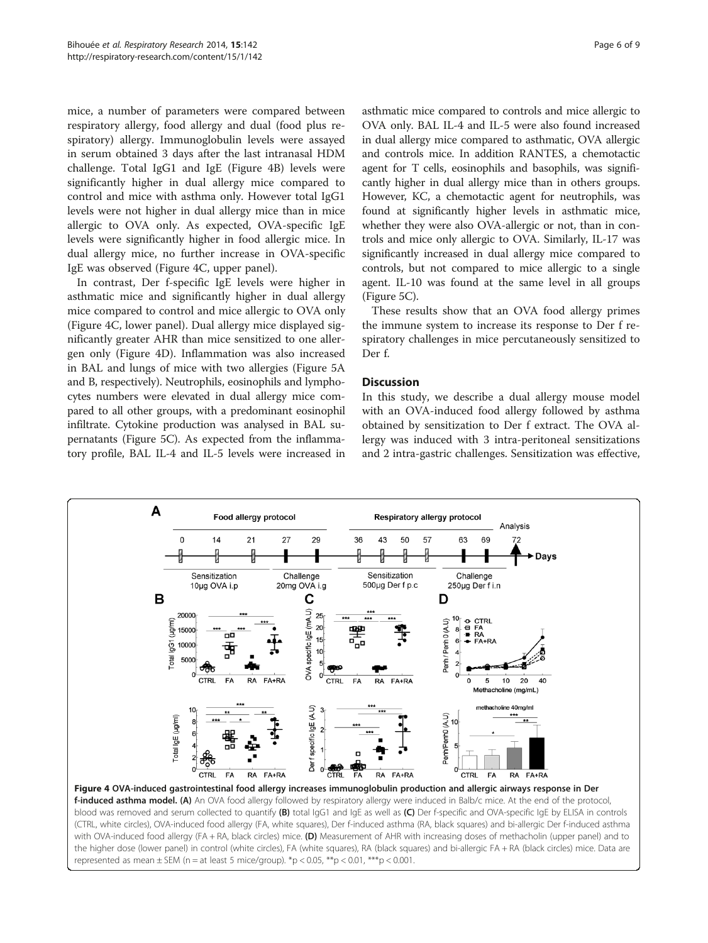mice, a number of parameters were compared between respiratory allergy, food allergy and dual (food plus respiratory) allergy. Immunoglobulin levels were assayed in serum obtained 3 days after the last intranasal HDM challenge. Total IgG1 and IgE (Figure 4B) levels were significantly higher in dual allergy mice compared to control and mice with asthma only. However total IgG1 levels were not higher in dual allergy mice than in mice allergic to OVA only. As expected, OVA-specific IgE levels were significantly higher in food allergic mice. In dual allergy mice, no further increase in OVA-specific IgE was observed (Figure 4C, upper panel).

In contrast, Der f-specific IgE levels were higher in asthmatic mice and significantly higher in dual allergy mice compared to control and mice allergic to OVA only (Figure 4C, lower panel). Dual allergy mice displayed significantly greater AHR than mice sensitized to one allergen only (Figure 4D). Inflammation was also increased in BAL and lungs of mice with two allergies (Figure [5A](#page-6-0) and B, respectively). Neutrophils, eosinophils and lymphocytes numbers were elevated in dual allergy mice compared to all other groups, with a predominant eosinophil infiltrate. Cytokine production was analysed in BAL supernatants (Figure [5C](#page-6-0)). As expected from the inflammatory profile, BAL IL-4 and IL-5 levels were increased in

asthmatic mice compared to controls and mice allergic to OVA only. BAL IL-4 and IL-5 were also found increased in dual allergy mice compared to asthmatic, OVA allergic and controls mice. In addition RANTES, a chemotactic agent for T cells, eosinophils and basophils, was significantly higher in dual allergy mice than in others groups. However, KC, a chemotactic agent for neutrophils, was found at significantly higher levels in asthmatic mice, whether they were also OVA-allergic or not, than in controls and mice only allergic to OVA. Similarly, IL-17 was significantly increased in dual allergy mice compared to controls, but not compared to mice allergic to a single agent. IL-10 was found at the same level in all groups (Figure [5](#page-6-0)C).

These results show that an OVA food allergy primes the immune system to increase its response to Der f respiratory challenges in mice percutaneously sensitized to Der f.

### **Discussion**

In this study, we describe a dual allergy mouse model with an OVA-induced food allergy followed by asthma obtained by sensitization to Der f extract. The OVA allergy was induced with 3 intra-peritoneal sensitizations and 2 intra-gastric challenges. Sensitization was effective,



(CTRL, white circles), OVA-induced food allergy (FA, white squares), Der f-induced asthma (RA, black squares) and bi-allergic Der f-induced asthma with OVA-induced food allergy (FA + RA, black circles) mice. (D) Measurement of AHR with increasing doses of methacholin (upper panel) and to the higher dose (lower panel) in control (white circles), FA (white squares), RA (black squares) and bi-allergic FA + RA (black circles) mice. Data are represented as mean  $\pm$  SEM (n = at least 5 mice/group). \*p < 0.05, \*\*p < 0.01, \*\*\*p < 0.001.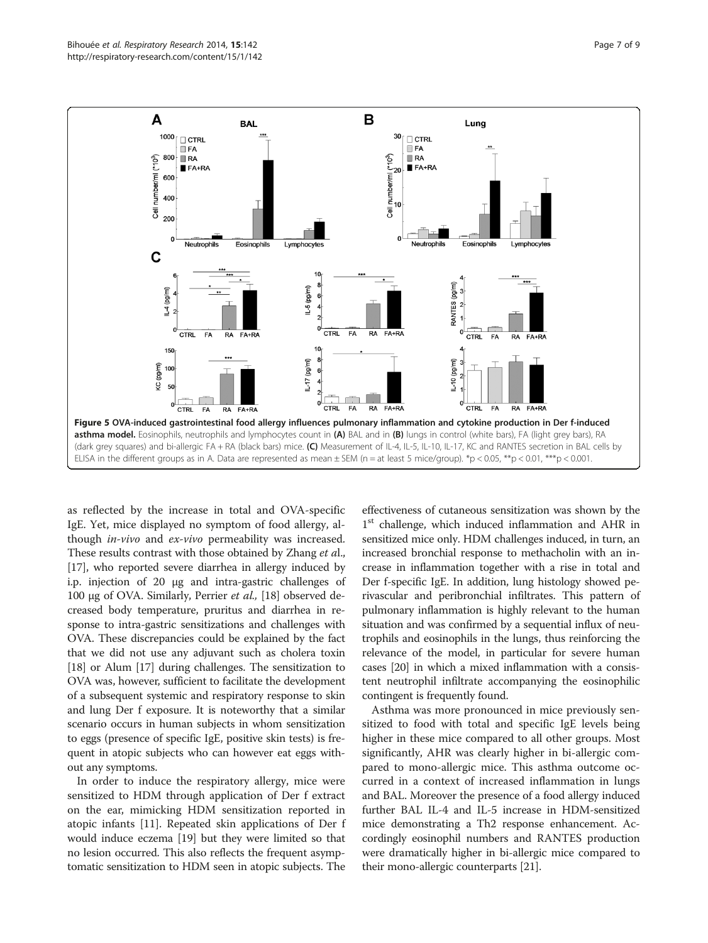<span id="page-6-0"></span>

as reflected by the increase in total and OVA-specific IgE. Yet, mice displayed no symptom of food allergy, although in-vivo and ex-vivo permeability was increased. These results contrast with those obtained by Zhang et al., [[17](#page-8-0)], who reported severe diarrhea in allergy induced by i.p. injection of 20 μg and intra-gastric challenges of 100 μg of OVA. Similarly, Perrier et al., [[18](#page-8-0)] observed decreased body temperature, pruritus and diarrhea in response to intra-gastric sensitizations and challenges with OVA. These discrepancies could be explained by the fact that we did not use any adjuvant such as cholera toxin [[18](#page-8-0)] or Alum [\[17\]](#page-8-0) during challenges. The sensitization to OVA was, however, sufficient to facilitate the development of a subsequent systemic and respiratory response to skin and lung Der f exposure. It is noteworthy that a similar scenario occurs in human subjects in whom sensitization to eggs (presence of specific IgE, positive skin tests) is frequent in atopic subjects who can however eat eggs without any symptoms.

In order to induce the respiratory allergy, mice were sensitized to HDM through application of Der f extract on the ear, mimicking HDM sensitization reported in atopic infants [[11\]](#page-8-0). Repeated skin applications of Der f would induce eczema [[19](#page-8-0)] but they were limited so that no lesion occurred. This also reflects the frequent asymptomatic sensitization to HDM seen in atopic subjects. The effectiveness of cutaneous sensitization was shown by the 1<sup>st</sup> challenge, which induced inflammation and AHR in sensitized mice only. HDM challenges induced, in turn, an increased bronchial response to methacholin with an increase in inflammation together with a rise in total and Der f-specific IgE. In addition, lung histology showed perivascular and peribronchial infiltrates. This pattern of pulmonary inflammation is highly relevant to the human situation and was confirmed by a sequential influx of neutrophils and eosinophils in the lungs, thus reinforcing the relevance of the model, in particular for severe human cases [[20\]](#page-8-0) in which a mixed inflammation with a consistent neutrophil infiltrate accompanying the eosinophilic contingent is frequently found.

Asthma was more pronounced in mice previously sensitized to food with total and specific IgE levels being higher in these mice compared to all other groups. Most significantly, AHR was clearly higher in bi-allergic compared to mono-allergic mice. This asthma outcome occurred in a context of increased inflammation in lungs and BAL. Moreover the presence of a food allergy induced further BAL IL-4 and IL-5 increase in HDM-sensitized mice demonstrating a Th2 response enhancement. Accordingly eosinophil numbers and RANTES production were dramatically higher in bi-allergic mice compared to their mono-allergic counterparts [[21](#page-8-0)].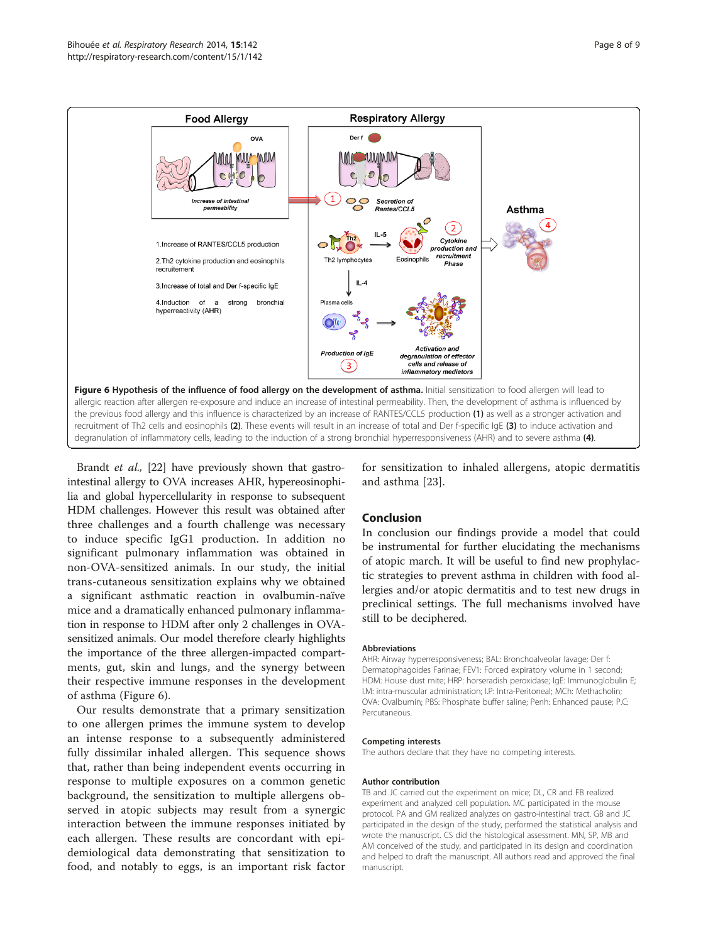

Brandt *et al.*, [\[22\]](#page-8-0) have previously shown that gastrointestinal allergy to OVA increases AHR, hypereosinophilia and global hypercellularity in response to subsequent HDM challenges. However this result was obtained after three challenges and a fourth challenge was necessary to induce specific IgG1 production. In addition no significant pulmonary inflammation was obtained in non-OVA-sensitized animals. In our study, the initial trans-cutaneous sensitization explains why we obtained a significant asthmatic reaction in ovalbumin-naïve mice and a dramatically enhanced pulmonary inflammation in response to HDM after only 2 challenges in OVAsensitized animals. Our model therefore clearly highlights the importance of the three allergen-impacted compartments, gut, skin and lungs, and the synergy between their respective immune responses in the development of asthma (Figure 6).

Our results demonstrate that a primary sensitization to one allergen primes the immune system to develop an intense response to a subsequently administered fully dissimilar inhaled allergen. This sequence shows that, rather than being independent events occurring in response to multiple exposures on a common genetic background, the sensitization to multiple allergens observed in atopic subjects may result from a synergic interaction between the immune responses initiated by each allergen. These results are concordant with epidemiological data demonstrating that sensitization to food, and notably to eggs, is an important risk factor

for sensitization to inhaled allergens, atopic dermatitis and asthma [[23](#page-8-0)].

## Conclusion

In conclusion our findings provide a model that could be instrumental for further elucidating the mechanisms of atopic march. It will be useful to find new prophylactic strategies to prevent asthma in children with food allergies and/or atopic dermatitis and to test new drugs in preclinical settings. The full mechanisms involved have still to be deciphered.

#### Abbreviations

AHR: Airway hyperresponsiveness; BAL: Bronchoalveolar lavage; Der f: Dermatophagoides Farinae; FEV1: Forced expiratory volume in 1 second; HDM: House dust mite; HRP: horseradish peroxidase; IgE: Immunoglobulin E; I.M: intra-muscular administration; I.P: Intra-Peritoneal; MCh: Methacholin; OVA: Ovalbumin; PBS: Phosphate buffer saline; Penh: Enhanced pause; P.C: Percutaneous.

#### Competing interests

The authors declare that they have no competing interests.

#### Author contribution

TB and JC carried out the experiment on mice; DL, CR and FB realized experiment and analyzed cell population. MC participated in the mouse protocol. PA and GM realized analyzes on gastro-intestinal tract. GB and JC participated in the design of the study, performed the statistical analysis and wrote the manuscript. CS did the histological assessment. MN, SP, MB and AM conceived of the study, and participated in its design and coordination and helped to draft the manuscript. All authors read and approved the final manuscript.